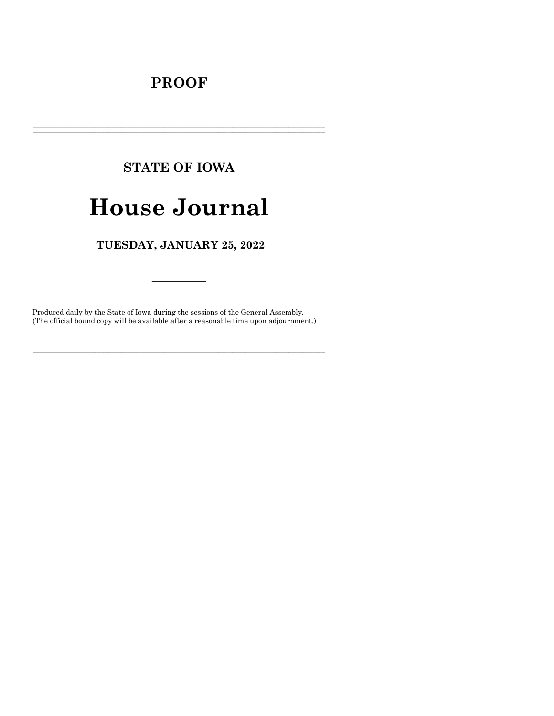## **PROOF**

## **STATE OF IOWA**

# **House Journal**

## TUESDAY, JANUARY 25, 2022

Produced daily by the State of Iowa during the sessions of the General Assembly. (The official bound copy will be available after a reasonable time upon adjournment.)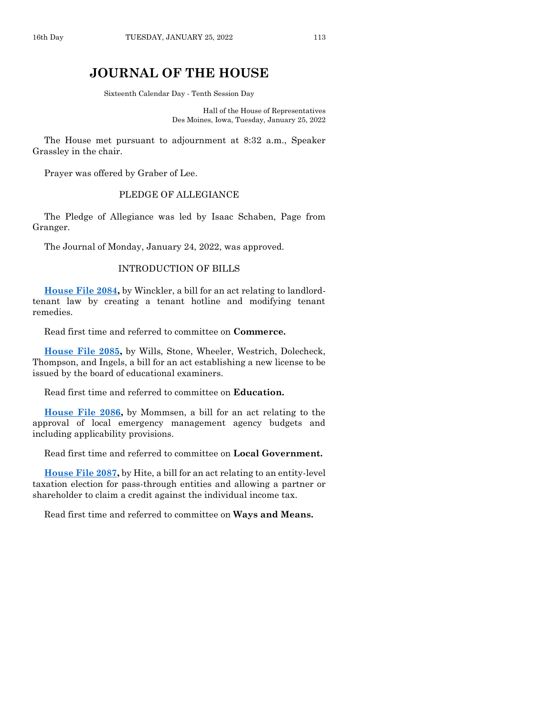## **JOURNAL OF THE HOUSE**

Sixteenth Calendar Day - Tenth Session Day

Hall of the House of Representatives Des Moines, Iowa, Tuesday, January 25, 2022

The House met pursuant to adjournment at 8:32 a.m., Speaker Grassley in the chair.

Prayer was offered by Graber of Lee.

## PLEDGE OF ALLEGIANCE

The Pledge of Allegiance was led by Isaac Schaben, Page from Granger.

The Journal of Monday, January 24, 2022, was approved.

## INTRODUCTION OF BILLS

**[House File 2084,](https://www.legis.iowa.gov/legislation/BillBook?ga=89&ba=HF2084)** by Winckler, a bill for an act relating to landlordtenant law by creating a tenant hotline and modifying tenant remedies.

Read first time and referred to committee on **Commerce.**

**[House File 2085,](https://www.legis.iowa.gov/legislation/BillBook?ga=89&ba=HF2085)** by Wills, Stone, Wheeler, Westrich, Dolecheck, Thompson, and Ingels, a bill for an act establishing a new license to be issued by the board of educational examiners.

Read first time and referred to committee on **Education.**

**[House File 2086,](https://www.legis.iowa.gov/legislation/BillBook?ga=89&ba=HF2086)** by Mommsen, a bill for an act relating to the approval of local emergency management agency budgets and including applicability provisions.

Read first time and referred to committee on **Local Government.**

**[House File 2087,](https://www.legis.iowa.gov/legislation/BillBook?ga=89&ba=HF2087)** by Hite, a bill for an act relating to an entity-level taxation election for pass-through entities and allowing a partner or shareholder to claim a credit against the individual income tax.

Read first time and referred to committee on **Ways and Means.**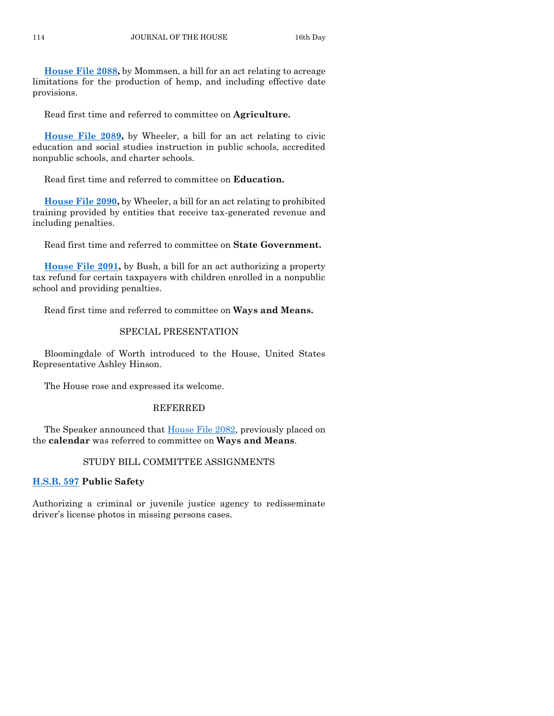**[House File 2088,](https://www.legis.iowa.gov/legislation/BillBook?ga=89&ba=HF2088)** by Mommsen, a bill for an act relating to acreage limitations for the production of hemp, and including effective date provisions.

Read first time and referred to committee on **Agriculture.**

**[House File 2089,](https://www.legis.iowa.gov/legislation/BillBook?ga=89&ba=HF2089)** by Wheeler, a bill for an act relating to civic education and social studies instruction in public schools, accredited nonpublic schools, and charter schools.

Read first time and referred to committee on **Education.**

**[House File 2090,](https://www.legis.iowa.gov/legislation/BillBook?ga=89&ba=HF2090)** by Wheeler, a bill for an act relating to prohibited training provided by entities that receive tax-generated revenue and including penalties.

Read first time and referred to committee on **State Government.**

**[House File 2091,](https://www.legis.iowa.gov/legislation/BillBook?ga=89&ba=HF2091)** by Bush, a bill for an act authorizing a property tax refund for certain taxpayers with children enrolled in a nonpublic school and providing penalties.

Read first time and referred to committee on **Ways and Means.**

## SPECIAL PRESENTATION

Bloomingdale of Worth introduced to the House, United States Representative Ashley Hinson.

The House rose and expressed its welcome.

## REFERRED

The Speaker announced that [House File 2082,](https://www.legis.iowa.gov/legislation/BillBook?ga=89&ba=HF2082) previously placed on the **calendar** was referred to committee on **Ways and Means**.

## STUDY BILL COMMITTEE ASSIGNMENTS

## **[H.S.B. 597](https://www.legis.iowa.gov/legislation/BillBook?ga=89&ba=HSB597) Public Safety**

Authorizing a criminal or juvenile justice agency to redisseminate driver's license photos in missing persons cases.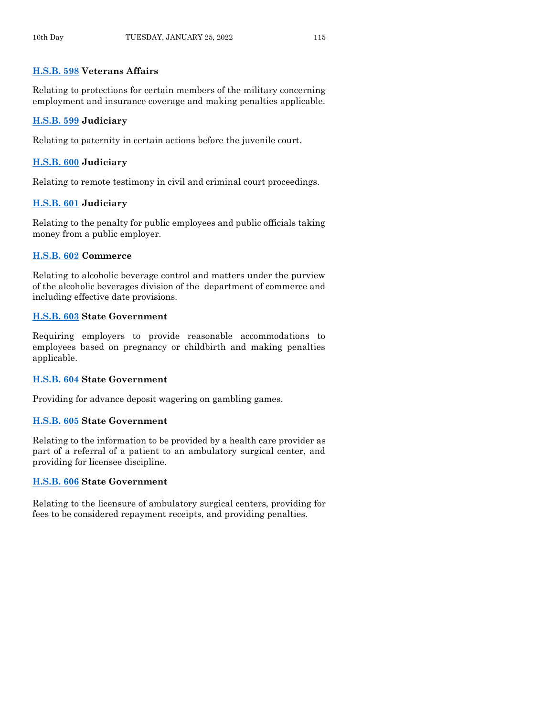## **[H.S.B. 598](https://www.legis.iowa.gov/legislation/BillBook?ga=89&ba=HSB598) Veterans Affairs**

Relating to protections for certain members of the military concerning employment and insurance coverage and making penalties applicable.

## **[H.S.B. 599](https://www.legis.iowa.gov/legislation/BillBook?ga=89&ba=HSB599) Judiciary**

Relating to paternity in certain actions before the juvenile court.

## **[H.S.B. 600](https://www.legis.iowa.gov/legislation/BillBook?ga=89&ba=HSB600) Judiciary**

Relating to remote testimony in civil and criminal court proceedings.

## **[H.S.B. 601](https://www.legis.iowa.gov/legislation/BillBook?ga=89&ba=HSB601) Judiciary**

Relating to the penalty for public employees and public officials taking money from a public employer.

## **[H.S.B. 602](https://www.legis.iowa.gov/legislation/BillBook?ga=89&ba=HSB602) Commerce**

Relating to alcoholic beverage control and matters under the purview of the alcoholic beverages division of the department of commerce and including effective date provisions.

## **[H.S.B. 603](https://www.legis.iowa.gov/legislation/BillBook?ga=89&ba=HSB603) State Government**

Requiring employers to provide reasonable accommodations to employees based on pregnancy or childbirth and making penalties applicable.

## **[H.S.B. 604](https://www.legis.iowa.gov/legislation/BillBook?ga=89&ba=HSB604) State Government**

Providing for advance deposit wagering on gambling games.

## **[H.S.B. 605](https://www.legis.iowa.gov/legislation/BillBook?ga=89&ba=HSB605) State Government**

Relating to the information to be provided by a health care provider as part of a referral of a patient to an ambulatory surgical center, and providing for licensee discipline.

## **[H.S.B. 606](https://www.legis.iowa.gov/legislation/BillBook?ga=89&ba=HSB606) State Government**

Relating to the licensure of ambulatory surgical centers, providing for fees to be considered repayment receipts, and providing penalties.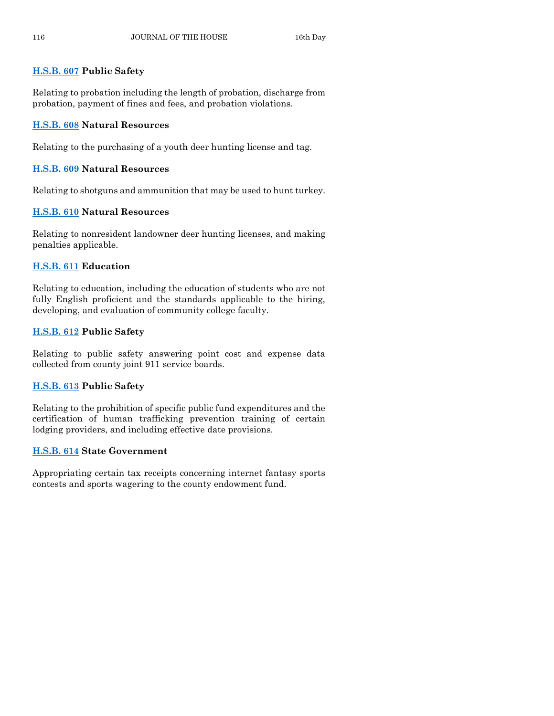## **[H.S.B. 607](https://www.legis.iowa.gov/legislation/BillBook?ga=89&ba=HSB607) Public Safety**

Relating to probation including the length of probation, discharge from probation, payment of fines and fees, and probation violations.

## **[H.S.B. 608](https://www.legis.iowa.gov/legislation/BillBook?ga=89&ba=HSB608) Natural Resources**

Relating to the purchasing of a youth deer hunting license and tag.

## **[H.S.B. 609](https://www.legis.iowa.gov/legislation/BillBook?ga=89&ba=HSB609) Natural Resources**

Relating to shotguns and ammunition that may be used to hunt turkey.

## **[H.S.B. 610](https://www.legis.iowa.gov/legislation/BillBook?ga=89&ba=HSB610) Natural Resources**

Relating to nonresident landowner deer hunting licenses, and making penalties applicable.

## **[H.S.B. 611](https://www.legis.iowa.gov/legislation/BillBook?ga=89&ba=HSB611) Education**

Relating to education, including the education of students who are not fully English proficient and the standards applicable to the hiring, developing, and evaluation of community college faculty.

## **[H.S.B. 612](https://www.legis.iowa.gov/legislation/BillBook?ga=89&ba=HSB612) Public Safety**

Relating to public safety answering point cost and expense data collected from county joint 911 service boards.

## **[H.S.B. 613](https://www.legis.iowa.gov/legislation/BillBook?ga=89&ba=HSB613) Public Safety**

Relating to the prohibition of specific public fund expenditures and the certification of human trafficking prevention training of certain lodging providers, and including effective date provisions.

## **[H.S.B. 614](https://www.legis.iowa.gov/legislation/BillBook?ga=89&ba=HSB614) State Government**

Appropriating certain tax receipts concerning internet fantasy sports contests and sports wagering to the county endowment fund.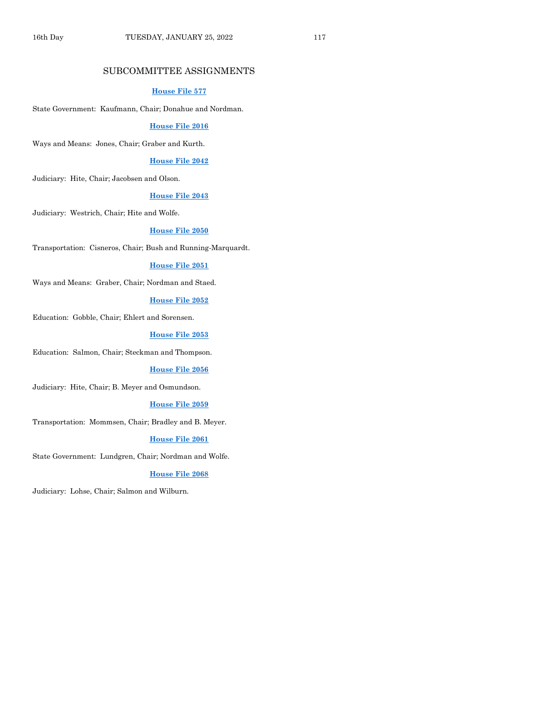## SUBCOMMITTEE ASSIGNMENTS

#### **[House File 577](https://www.legis.iowa.gov/legislation/BillBook?ga=89&ba=HF577)**

State Government: Kaufmann, Chair; Donahue and Nordman.

#### **[House File 2016](https://www.legis.iowa.gov/legislation/BillBook?ga=89&ba=HF2016)**

Ways and Means: Jones, Chair; Graber and Kurth.

## **[House File 2042](https://www.legis.iowa.gov/legislation/BillBook?ga=89&ba=HF2042)**

Judiciary: Hite, Chair; Jacobsen and Olson.

#### **[House File 2043](https://www.legis.iowa.gov/legislation/BillBook?ga=89&ba=HF2043)**

Judiciary: Westrich, Chair; Hite and Wolfe.

#### **[House File 2050](https://www.legis.iowa.gov/legislation/BillBook?ga=89&ba=HF2050)**

Transportation: Cisneros, Chair; Bush and Running-Marquardt.

#### **[House File 2051](https://www.legis.iowa.gov/legislation/BillBook?ga=89&ba=HF2051)**

Ways and Means: Graber, Chair; Nordman and Staed.

## **[House File 2052](https://www.legis.iowa.gov/legislation/BillBook?ga=89&ba=HF2052)**

Education: Gobble, Chair; Ehlert and Sorensen.

#### **[House File 2053](https://www.legis.iowa.gov/legislation/BillBook?ga=89&ba=HF2053)**

Education: Salmon, Chair; Steckman and Thompson.

#### **[House File 2056](https://www.legis.iowa.gov/legislation/BillBook?ga=89&ba=HF2056)**

Judiciary: Hite, Chair; B. Meyer and Osmundson.

#### **[House File 2059](https://www.legis.iowa.gov/legislation/BillBook?ga=89&ba=HF2059)**

Transportation: Mommsen, Chair; Bradley and B. Meyer.

#### **[House File 2061](https://www.legis.iowa.gov/legislation/BillBook?ga=89&ba=HF2061)**

State Government: Lundgren, Chair; Nordman and Wolfe.

#### **[House File 2068](https://www.legis.iowa.gov/legislation/BillBook?ga=89&ba=HF2068)**

Judiciary: Lohse, Chair; Salmon and Wilburn.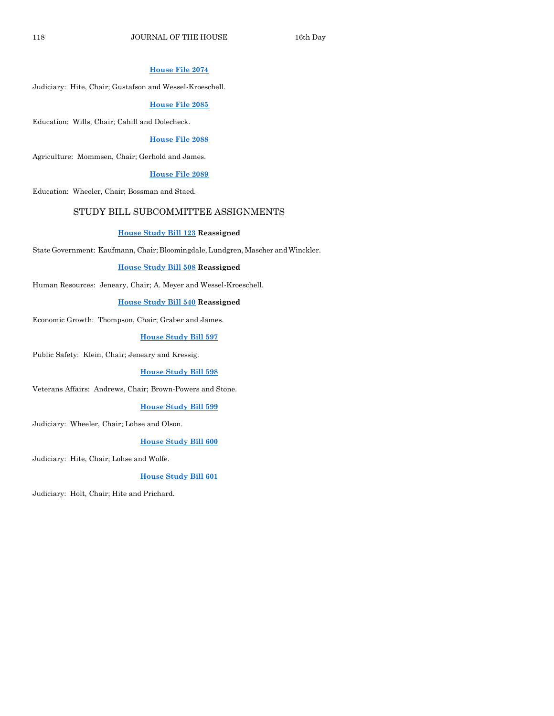## **[House File 2074](https://www.legis.iowa.gov/legislation/BillBook?ga=89&ba=HF2074)**

Judiciary: Hite, Chair; Gustafson and Wessel-Kroeschell.

#### **[House File 2085](https://www.legis.iowa.gov/legislation/BillBook?ga=89&ba=HF2085)**

Education: Wills, Chair; Cahill and Dolecheck.

## **[House File 2088](https://www.legis.iowa.gov/legislation/BillBook?ga=89&ba=HF2088)**

Agriculture: Mommsen, Chair; Gerhold and James.

#### **[House File 2089](https://www.legis.iowa.gov/legislation/BillBook?ga=89&ba=HF2089)**

Education: Wheeler, Chair; Bossman and Staed.

## STUDY BILL SUBCOMMITTEE ASSIGNMENTS

#### **[House Study Bill 123](https://www.legis.iowa.gov/legislation/BillBook?ga=89&ba=HSB123) Reassigned**

State Government: Kaufmann, Chair; Bloomingdale, Lundgren, Mascher andWinckler.

#### **[House Study Bill 508](https://www.legis.iowa.gov/legislation/BillBook?ga=89&ba=HSB508) Reassigned**

Human Resources: Jeneary, Chair; A. Meyer and Wessel-Kroeschell.

## **[House Study Bill 540](https://www.legis.iowa.gov/legislation/BillBook?ga=89&ba=HSB540) Reassigned**

Economic Growth: Thompson, Chair; Graber and James.

#### **[House Study Bill 597](https://www.legis.iowa.gov/legislation/BillBook?ga=89&ba=HSB597)**

Public Safety: Klein, Chair; Jeneary and Kressig.

#### **[House Study Bill 598](https://www.legis.iowa.gov/legislation/BillBook?ga=89&ba=HSB598)**

Veterans Affairs: Andrews, Chair; Brown-Powers and Stone.

#### **[House Study Bill 599](https://www.legis.iowa.gov/legislation/BillBook?ga=89&ba=HSB599)**

Judiciary: Wheeler, Chair; Lohse and Olson.

#### **[House Study Bill 600](https://www.legis.iowa.gov/legislation/BillBook?ga=89&ba=HSB600)**

Judiciary: Hite, Chair; Lohse and Wolfe.

## **[House Study Bill 601](https://www.legis.iowa.gov/legislation/BillBook?ga=89&ba=HSB601)**

Judiciary: Holt, Chair; Hite and Prichard.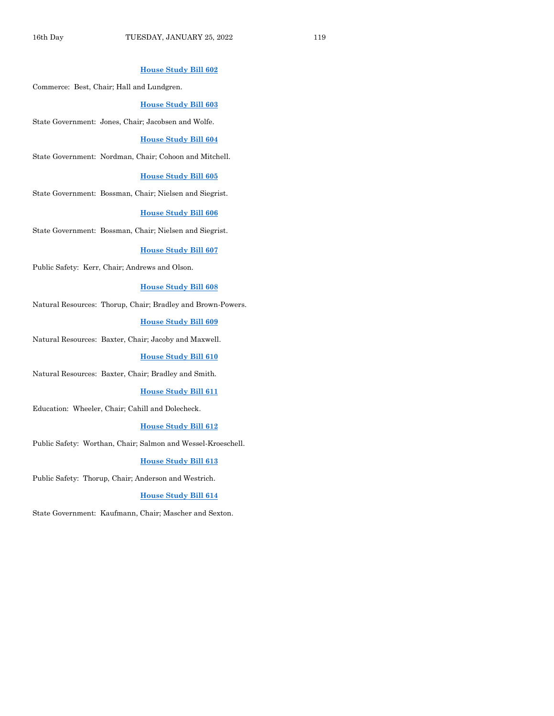## **[House Study Bill 602](https://www.legis.iowa.gov/legislation/BillBook?ga=89&ba=HSB602)**

Commerce: Best, Chair; Hall and Lundgren.

#### **[House Study Bill 603](https://www.legis.iowa.gov/legislation/BillBook?ga=89&ba=HSB603)**

State Government: Jones, Chair; Jacobsen and Wolfe.

#### **[House Study Bill 604](https://www.legis.iowa.gov/legislation/BillBook?ga=89&ba=HSB604)**

State Government: Nordman, Chair; Cohoon and Mitchell.

#### **[House Study Bill 605](https://www.legis.iowa.gov/legislation/BillBook?ga=89&ba=HSB605)**

State Government: Bossman, Chair; Nielsen and Siegrist.

#### **[House Study Bill 606](https://www.legis.iowa.gov/legislation/BillBook?ga=89&ba=HSB606)**

State Government: Bossman, Chair; Nielsen and Siegrist.

#### **[House Study Bill 607](https://www.legis.iowa.gov/legislation/BillBook?ga=89&ba=HSB607)**

Public Safety: Kerr, Chair; Andrews and Olson.

#### **[House Study Bill 608](https://www.legis.iowa.gov/legislation/BillBook?ga=89&ba=HSB608)**

Natural Resources: Thorup, Chair; Bradley and Brown-Powers.

#### **[House Study Bill 609](https://www.legis.iowa.gov/legislation/BillBook?ga=89&ba=HSB609)**

Natural Resources: Baxter, Chair; Jacoby and Maxwell.

#### **[House Study Bill 610](https://www.legis.iowa.gov/legislation/BillBook?ga=89&ba=HSB610)**

Natural Resources: Baxter, Chair; Bradley and Smith.

#### **[House Study Bill 611](https://www.legis.iowa.gov/legislation/BillBook?ga=89&ba=HSB611)**

Education: Wheeler, Chair; Cahill and Dolecheck.

#### **[House Study Bill 612](https://www.legis.iowa.gov/legislation/BillBook?ga=89&ba=HSB612)**

Public Safety: Worthan, Chair; Salmon and Wessel-Kroeschell.

#### **[House Study Bill 613](https://www.legis.iowa.gov/legislation/BillBook?ga=89&ba=HSB613)**

Public Safety: Thorup, Chair; Anderson and Westrich.

#### **[House Study Bill 614](https://www.legis.iowa.gov/legislation/BillBook?ga=89&ba=HSB614)**

State Government: Kaufmann, Chair; Mascher and Sexton.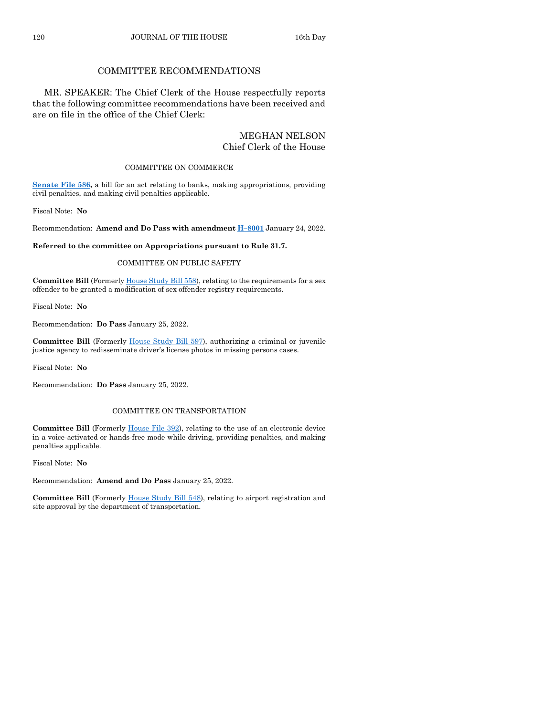## COMMITTEE RECOMMENDATIONS

MR. SPEAKER: The Chief Clerk of the House respectfully reports that the following committee recommendations have been received and are on file in the office of the Chief Clerk:

## MEGHAN NELSON Chief Clerk of the House

#### COMMITTEE ON COMMERCE

**[Senate File 586,](https://www.legis.iowa.gov/legislation/BillBook?ga=89&ba=SF586)** a bill for an act relating to banks, making appropriations, providing civil penalties, and making civil penalties applicable.

Fiscal Note: **No**

Recommendation: **Amend and Do Pass with amendment H–[8001](https://www.legis.iowa.gov/legislation/BillBook?ga=89&ba=H8001)** January 24, 2022.

**Referred to the committee on Appropriations pursuant to Rule 31.7.**

#### COMMITTEE ON PUBLIC SAFETY

**Committee Bill** (Formerl[y House Study Bill 558\)](https://www.legis.iowa.gov/legislation/BillBook?ga=89&ba=HSB558), relating to the requirements for a sex offender to be granted a modification of sex offender registry requirements.

Fiscal Note: **No**

Recommendation: **Do Pass** January 25, 2022.

**Committee Bill** (Formerly [House Study Bill 597\)](https://www.legis.iowa.gov/legislation/BillBook?ga=89&ba=HSB597), authorizing a criminal or juvenile justice agency to redisseminate driver's license photos in missing persons cases.

Fiscal Note: **No**

Recommendation: **Do Pass** January 25, 2022.

#### COMMITTEE ON TRANSPORTATION

Committee Bill (Formerly [House File 392\)](https://www.legis.iowa.gov/legislation/BillBook?ga=89&ba=HF392), relating to the use of an electronic device in a voice-activated or hands-free mode while driving, providing penalties, and making penalties applicable.

Fiscal Note: **No**

Recommendation: **Amend and Do Pass** January 25, 2022.

**Committee Bill** (Formerl[y House Study Bill 548\)](https://www.legis.iowa.gov/legislation/BillBook?ga=89&ba=HSB548), relating to airport registration and site approval by the department of transportation.